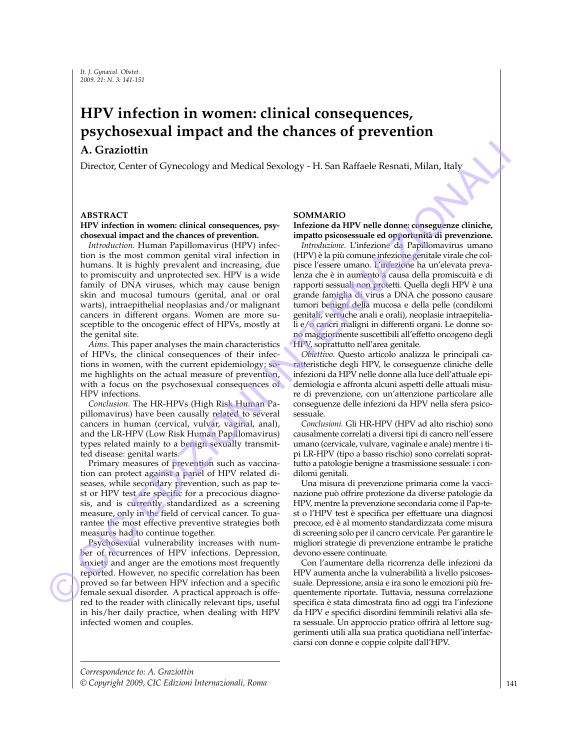# **HPV infection in women: clinical consequences, psychosexual impact and the chances of prevention**

# **A. Graziottin**

Director, Center of Gynecology and Medical Sexology - H. San Raffaele Resnati, Milan, Italy

### **ABSTRACT**

### **HPV infection in women: clinical consequences, psychosexual impact and the chances of prevention.**

*Introduction.* Human Papillomavirus (HPV) infection is the most common genital viral infection in humans. It is highly prevalent and increasing, due to promiscuity and unprotected sex. HPV is a wide family of DNA viruses, which may cause benign skin and mucosal tumours (genital, anal or oral warts), intraepithelial neoplasias and/or malignant cancers in different organs. Women are more susceptible to the oncogenic effect of HPVs, mostly at the genital site.

*Aims.* This paper analyses the main characteristics of HPVs, the clinical consequences of their infections in women, with the current epidemiology; some highlights on the actual measure of prevention, with a focus on the psychosexual consequences of HPV infections.

*Conclusion.* The HR-HPVs (High Risk Human Papillomavirus) have been causally related to several cancers in human (cervical, vulvar, vaginal, anal), and the LR-HPV (Low Risk Human Papillomavirus) types related mainly to a benign sexually transmitted disease: genital warts.

Primary measures of prevention such as vaccination can protect against a panel of HPV related diseases, while secondary prevention, such as pap test or HPV test are specific for a precocious diagnosis, and is currently standardized as a screening measure, only in the field of cervical cancer. To guarantee the most effective preventive strategies both measures had to continue together.

Psychosexual vulnerability increases with number of recurrences of HPV infections. Depression, anxiety and anger are the emotions most frequently reported. However, no specific correlation has been proved so far between HPV infection and a specific female sexual disorder. A practical approach is offered to the reader with clinically relevant tips, useful in his/her daily practice, when dealing with HPV infected women and couples.

## **SOMMARIO**

#### **Infezione da HPV nelle donne: conseguenze cliniche, impatto psicosessuale ed opportunità di prevenzione.**

*Introduzione.* L'infezione da Papillomavirus umano (HPV) è la più comune infezione genitale virale che colpisce l'essere umano. L'infezione ha un'elevata prevalenza che è in aumento a causa della promiscuità e di rapporti sessuali non protetti. Quella degli HPV è una grande famiglia di virus a DNA che possono causare tumori benigni della mucosa e della pelle (condilomi genitali, verruche anali e orali), neoplasie intraepiteliali e/o cancri maligni in differenti organi. Le donne sono maggiormente suscettibili all'effetto oncogeno degli HPV, soprattutto nell'area genitale. A. Graziottim et Gymenology and Medical Secology -H. San Rafiaele Resnai, Milan, Italy Director, Center of Gymenology and Medical Secology -H. San Rafiaele Resnai, Milan, Italy MV explores the medical department of FPV is

*Obiettivo.* Questo articolo analizza le principali caratteristiche degli HPV, le conseguenze cliniche delle infezioni da HPV nelle donne alla luce dell'attuale epidemiologia e affronta alcuni aspetti delle attuali misure di prevenzione, con un'attenzione particolare alle conseguenze delle infezioni da HPV nella sfera psicosessuale.

*Conclusioni.* Gli HR-HPV (HPV ad alto rischio) sono causalmente correlati a diversi tipi di cancro nell'essere umano (cervicale, vulvare, vaginale e anale) mentre i tipi LR-HPV (tipo a basso rischio) sono correlati soprattutto a patologie benigne a trasmissione sessuale: i condilomi genitali.

Una misura di prevenzione primaria come la vaccinazione può offrire protezione da diverse patologie da HPV, mentre la prevenzione secondaria come il Pap-test o l'HPV test è specifica per effettuare una diagnosi precoce, ed è al momento standardizzata come misura di screening solo per il cancro cervicale. Per garantire le migliori strategie di prevenzione entrambe le pratiche devono essere continuate.

Con l'aumentare della ricorrenza delle infezioni da HPV aumenta anche la vulnerabilità a livello psicosessuale. Depressione, ansia e ira sono le emozioni più frequentemente riportate. Tuttavia, nessuna correlazione specifica è stata dimostrata fino ad oggi tra l'infezione da HPV e specifici disordini femminili relativi alla sfera sessuale. Un approccio pratico offrirà al lettore suggerimenti utili alla sua pratica quotidiana nell'interfacciarsi con donne e coppie colpite dall'HPV.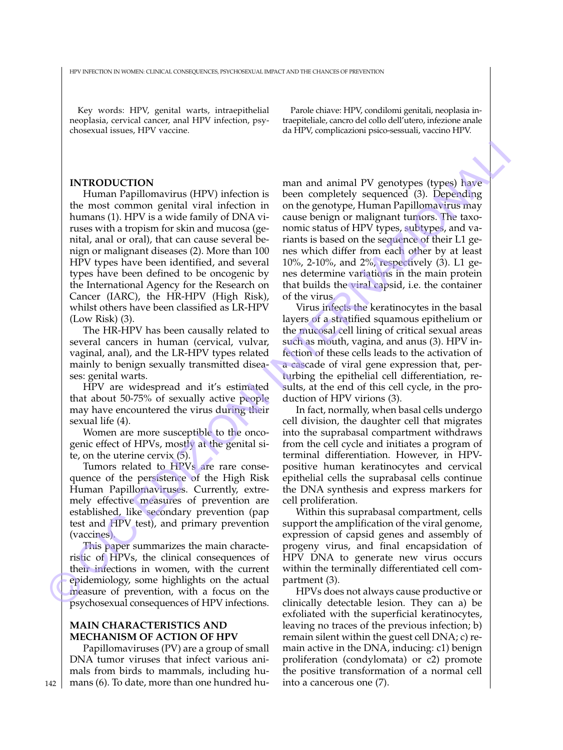Key words: HPV, genital warts, intraepithelial neoplasia, cervical cancer, anal HPV infection, psychosexual issues, HPV vaccine.

#### **INTRODUCTION**

Human Papillomavirus (HPV) infection is the most common genital viral infection in humans (1). HPV is a wide family of DNA viruses with a tropism for skin and mucosa (genital, anal or oral), that can cause several benign or malignant diseases (2). More than 100 HPV types have been identified, and several types have been defined to be oncogenic by the International Agency for the Research on Cancer (IARC), the HR-HPV (High Risk), whilst others have been classified as LR-HPV (Low Risk) (3). **ENTRODUCTION**<br> **ENTRODUCTION**<br> **EVALUATION** from a mead animal PV genetypes (types) have<br>
the most common genital viral infection in one the genotype. Human Papillomavirus may<br>
humans (1PV) infection in one the genotype.

The HR-HPV has been causally related to several cancers in human (cervical, vulvar, vaginal, anal), and the LR-HPV types related mainly to benign sexually transmitted diseases: genital warts.

HPV are widespread and it's estimated that about 50-75% of sexually active people may have encountered the virus during their sexual life (4).

Women are more susceptible to the oncogenic effect of HPVs, mostly at the genital site, on the uterine cervix (5).

Tumors related to HPVs are rare consequence of the persistence of the High Risk Human Papillomaviruses. Currently, extremely effective measures of prevention are established, like secondary prevention (pap test and HPV test), and primary prevention (vaccines).

This paper summarizes the main characteristic of HPVs, the clinical consequences of their infections in women, with the current epidemiology, some highlights on the actual measure of prevention, with a focus on the psychosexual consequences of HPV infections.

## **MAIN CHARACTERISTICS AND MECHANISM OF ACTION OF HPV**

Papillomaviruses (PV) are a group of small DNA tumor viruses that infect various animals from birds to mammals, including humans (6). To date, more than one hundred hu-

Parole chiave: HPV, condilomi genitali, neoplasia intraepiteliale, cancro del collo dell'utero, infezione anale da HPV, complicazioni psico-sessuali, vaccino HPV.

man and animal PV genotypes (types) have been completely sequenced (3). Depending on the genotype, Human Papillomavirus may cause benign or malignant tumors. The taxonomic status of HPV types, subtypes, and variants is based on the sequence of their L1 genes which differ from each other by at least 10%, 2-10%, and 2%, respectively (3). L1 genes determine variations in the main protein that builds the viral capsid, i.e. the container of the virus.

Virus infects the keratinocytes in the basal layers of a stratified squamous epithelium or the mucosal cell lining of critical sexual areas such as mouth, vagina, and anus (3). HPV infection of these cells leads to the activation of a cascade of viral gene expression that, perturbing the epithelial cell differentiation, results, at the end of this cell cycle, in the production of HPV virions (3).

In fact, normally, when basal cells undergo cell division, the daughter cell that migrates into the suprabasal compartment withdraws from the cell cycle and initiates a program of terminal differentiation. However, in HPVpositive human keratinocytes and cervical epithelial cells the suprabasal cells continue the DNA synthesis and express markers for cell proliferation.

Within this suprabasal compartment, cells support the amplification of the viral genome, expression of capsid genes and assembly of progeny virus, and final encapsidation of HPV DNA to generate new virus occurs within the terminally differentiated cell compartment (3).

HPVs does not always cause productive or clinically detectable lesion. They can a) be exfoliated with the superficial keratinocytes, leaving no traces of the previous infection; b) remain silent within the guest cell DNA; c) remain active in the DNA, inducing: c1) benign proliferation (condylomata) or c2) promote the positive transformation of a normal cell into a cancerous one (7).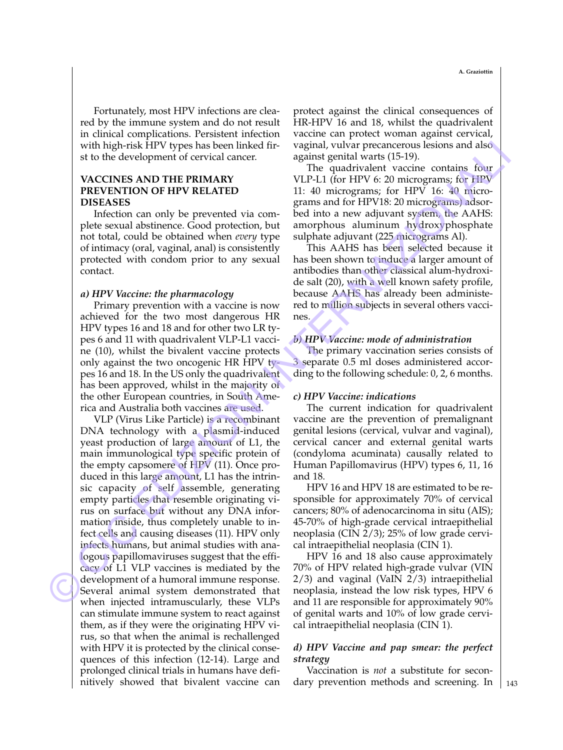Fortunately, most HPV infections are cleared by the immune system and do not result in clinical complications. Persistent infection with high-risk HPV types has been linked first to the development of cervical cancer.

## **VACCINES AND THE PRIMARY PREVENTION OF HPV RELATED DISEASES**

Infection can only be prevented via complete sexual abstinence. Good protection, but not total, could be obtained when *every* type of intimacy (oral, vaginal, anal) is consistently protected with condom prior to any sexual contact.

### *a) HPV Vaccine: the pharmacology*

Primary prevention with a vaccine is now achieved for the two most dangerous HR HPV types 16 and 18 and for other two LR types 6 and 11 with quadrivalent VLP-L1 vaccine (10), whilst the bivalent vaccine protects only against the two oncogenic HR HPV types 16 and 18. In the US only the quadrivalent has been approved, whilst in the majority of the other European countries, in South America and Australia both vaccines are used.

VLP (Virus Like Particle) is a recombinant DNA technology with a plasmid-induced yeast production of large amount of L1, the main immunological type specific protein of the empty capsomere of HPV (11). Once produced in this large amount, L1 has the intrinsic capacity of self assemble, generating empty particles that resemble originating virus on surface but without any DNA information inside, thus completely unable to infect cells and causing diseases (11). HPV only infects humans, but animal studies with analogous papillomaviruses suggest that the efficacy of L1 VLP vaccines is mediated by the development of a humoral immune response. Several animal system demonstrated that when injected intramuscularly, these VLPs can stimulate immune system to react against them, as if they were the originating HPV virus, so that when the animal is rechallenged with HPV it is protected by the clinical consequences of this infection (12-14). Large and prolonged clinical trials in humans have definitively showed that bivalent vaccine can with high-rask HPV types lab one linked fir-vaginal with the resonator of issue of the control of the control of the particular propagation is a control of the particular control of the matrix of the matrix of the particu

protect against the clinical consequences of HR-HPV 16 and 18, whilst the quadrivalent vaccine can protect woman against cervical, vaginal, vulvar precancerous lesions and also against genital warts (15-19).

The quadrivalent vaccine contains four VLP-L1 (for HPV 6: 20 micrograms; for HPV 11: 40 micrograms; for HPV 16: 40 micrograms and for HPV18: 20 micrograms) adsorbed into a new adjuvant system, the AAHS: amorphous aluminum hydroxyphosphate sulphate adjuvant (225 micrograms Al).

This AAHS has been selected because it has been shown to induce a larger amount of antibodies than other classical alum-hydroxide salt (20), with a well known safety profile, because AAHS has already been administered to million subjects in several others vaccines.

### *b) HPV Vaccine: mode of administration*

The primary vaccination series consists of 3 separate 0.5 ml doses administered according to the following schedule: 0, 2, 6 months.

#### *c) HPV Vaccine: indications*

The current indication for quadrivalent vaccine are the prevention of premalignant genital lesions (cervical, vulvar and vaginal), cervical cancer and external genital warts (condyloma acuminata) causally related to Human Papillomavirus (HPV) types 6, 11, 16 and 18.

HPV 16 and HPV 18 are estimated to be responsible for approximately 70% of cervical cancers; 80% of adenocarcinoma in situ (AIS); 45-70% of high-grade cervical intraepithelial neoplasia (CIN 2/3); 25% of low grade cervical intraepithelial neoplasia (CIN 1).

HPV 16 and 18 also cause approximately 70% of HPV related high-grade vulvar (VIN 2/3) and vaginal (VaIN 2/3) intraepithelial neoplasia, instead the low risk types, HPV 6 and 11 are responsible for approximately 90% of genital warts and 10% of low grade cervical intraepithelial neoplasia (CIN 1).

## *d) HPV Vaccine and pap smear: the perfect strategy*

Vaccination is *not* a substitute for secondary prevention methods and screening. In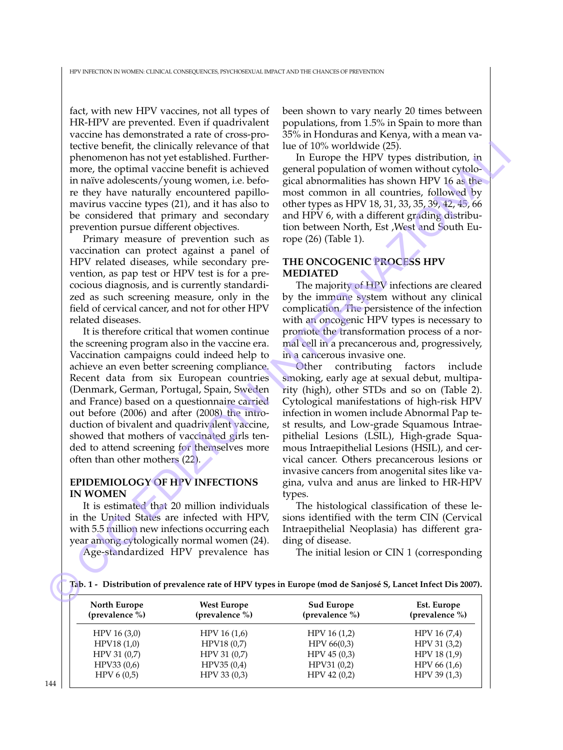fact, with new HPV vaccines, not all types of HR-HPV are prevented. Even if quadrivalent vaccine has demonstrated a rate of cross-protective benefit, the clinically relevance of that phenomenon has not yet established. Furthermore, the optimal vaccine benefit is achieved in naïve adolescents/young women, i.e. before they have naturally encountered papillomavirus vaccine types (21), and it has also to be considered that primary and secondary prevention pursue different objectives.

Primary measure of prevention such as vaccination can protect against a panel of HPV related diseases, while secondary prevention, as pap test or HPV test is for a precocious diagnosis, and is currently standardized as such screening measure, only in the field of cervical cancer, and not for other HPV related diseases.

It is therefore critical that women continue the screening program also in the vaccine era. Vaccination campaigns could indeed help to achieve an even better screening compliance. Recent data from six European countries (Denmark, German, Portugal, Spain, Sweden and France) based on a questionnaire carried out before (2006) and after (2008) the introduction of bivalent and quadrivalent vaccine, showed that mothers of vaccinated girls tended to attend screening for themselves more often than other mothers (22).

## **EPIDEMIOLOGY OF HPV INFECTIONS IN WOMEN**

It is estimated that 20 million individuals in the United States are infected with HPV, with 5.5 million new infections occurring each year among cytologically normal women (24).

Age-standardized HPV prevalence has

been shown to vary nearly 20 times between populations, from 1.5% in Spain to more than 35% in Honduras and Kenya, with a mean value of 10% worldwide (25).

In Europe the HPV types distribution, in general population of women without cytological abnormalities has shown HPV 16 as the most common in all countries, followed by other types as HPV 18, 31, 33, 35, 39, 42, 45, 66 and HPV 6, with a different grading distribution between North, Est ,West and South Europe (26) (Table 1).

## **THE ONCOGENIC PROCESS HPV MEDIATED**

The majority of HPV infections are cleared by the immune system without any clinical complication. The persistence of the infection with an oncogenic HPV types is necessary to promote the transformation process of a normal cell in a precancerous and, progressively, in a cancerous invasive one.

Other contributing factors include smoking, early age at sexual debut, multiparity (high), other STDs and so on (Table 2). Cytological manifestations of high-risk HPV infection in women include Abnormal Pap test results, and Low-grade Squamous Intraepithelial Lesions (LSIL), High-grade Squamous Intraepithelial Lesions (HSIL), and cervical cancer. Others precancerous lesions or invasive cancers from anogenital sites like vagina, vulva and anus are linked to HR-HPV types. ictive bonefit, the clinical relationship relationship relationship relationship relationship in the particle bones that the properties in actions the relationship in the properties in actions the properties in actions (he

The histological classification of these lesions identified with the term CIN (Cervical Intraepithelial Neoplasia) has different grading of disease.

The initial lesion or CIN 1 (corresponding

|  |  | Tab. 1 - Distribution of prevalence rate of HPV types in Europe (mod de Sanjosé S, Lancet Infect Dis 2007). |  |  |  |
|--|--|-------------------------------------------------------------------------------------------------------------|--|--|--|
|  |  |                                                                                                             |  |  |  |

| North Europe<br>(prevalence %) | <b>West Europe</b><br>(prevalence %) | <b>Sud Europe</b><br>(prevalence %) | Est. Europe<br>(prevalence %) |
|--------------------------------|--------------------------------------|-------------------------------------|-------------------------------|
| HPV 16 (3,0)                   | HPV 16(1,6)                          | HPV 16 (1,2)                        | HPV 16 (7,4)                  |
| HPV18(1,0)                     | HPV18 (0,7)                          | HPV 66(0,3)                         | HPV 31 (3,2)                  |
| HPV 31 (0,7)                   | HPV 31 (0,7)                         | HPV 45 (0,3)                        | HPV 18 (1,9)                  |
| HPV33 (0,6)                    | HPV35(0,4)                           | HPV31(0,2)                          | HPV 66 (1,6)                  |
| HPV 6 (0,5)                    | HPV 33 (0,3)                         | HPV 42 (0,2)                        | $HPV$ 39 (1,3)                |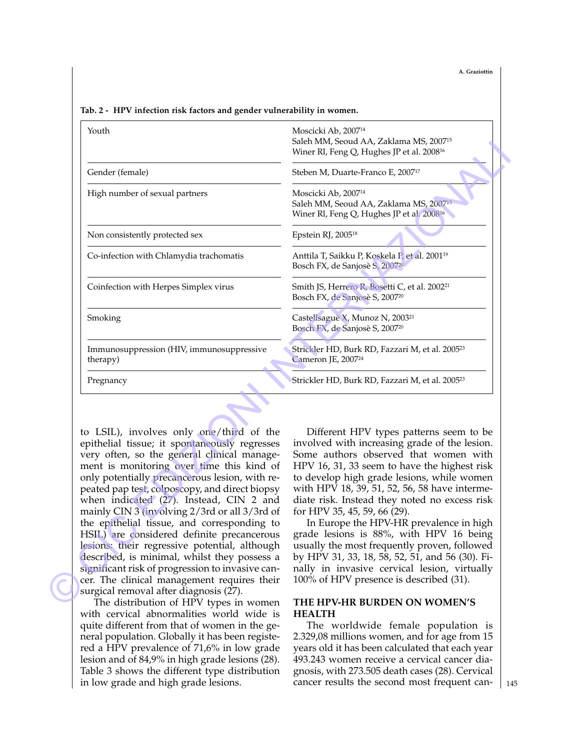**A. Graziottin**

### **Tab. 2 - HPV infection risk factors and gender vulnerability in women.**

|                                                                                                                                                                                                                                                                                                                                                                                                                                                                                                                                                                                                                                                                                        | Moscicki Ab, 2007 <sup>14</sup><br>Saleh MM, Seoud AA, Zaklama MS, 2007 <sup>15</sup><br>Winer Rl, Feng Q, Hughes JP et al. 2008 <sup>16</sup>                                                                                                                                                                                                                                                                                                                                                                                                                                                                                                        |  |  |  |  |
|----------------------------------------------------------------------------------------------------------------------------------------------------------------------------------------------------------------------------------------------------------------------------------------------------------------------------------------------------------------------------------------------------------------------------------------------------------------------------------------------------------------------------------------------------------------------------------------------------------------------------------------------------------------------------------------|-------------------------------------------------------------------------------------------------------------------------------------------------------------------------------------------------------------------------------------------------------------------------------------------------------------------------------------------------------------------------------------------------------------------------------------------------------------------------------------------------------------------------------------------------------------------------------------------------------------------------------------------------------|--|--|--|--|
| Gender (female)                                                                                                                                                                                                                                                                                                                                                                                                                                                                                                                                                                                                                                                                        | Steben M, Duarte-Franco E, 2007 <sup>17</sup>                                                                                                                                                                                                                                                                                                                                                                                                                                                                                                                                                                                                         |  |  |  |  |
| High number of sexual partners                                                                                                                                                                                                                                                                                                                                                                                                                                                                                                                                                                                                                                                         | Moscicki Ab, 2007 <sup>14</sup><br>Saleh MM, Seoud AA, Zaklama MS, 2007 <sup>13</sup><br>Winer Rl, Feng Q, Hughes JP et al. 2008 <sup>16</sup>                                                                                                                                                                                                                                                                                                                                                                                                                                                                                                        |  |  |  |  |
| Non consistently protected sex                                                                                                                                                                                                                                                                                                                                                                                                                                                                                                                                                                                                                                                         | Epstein RJ, 2005 <sup>18</sup>                                                                                                                                                                                                                                                                                                                                                                                                                                                                                                                                                                                                                        |  |  |  |  |
| Co-infection with Chlamydia trachomatis                                                                                                                                                                                                                                                                                                                                                                                                                                                                                                                                                                                                                                                | Anttila T, Saikku P, Koskela P, et al. 2001 <sup>19</sup><br>Bosch FX, de Sanjosè S, 200720                                                                                                                                                                                                                                                                                                                                                                                                                                                                                                                                                           |  |  |  |  |
| Coinfection with Herpes Simplex virus                                                                                                                                                                                                                                                                                                                                                                                                                                                                                                                                                                                                                                                  | Smith JS, Herrero R, Bosetti C, et al. 2002 <sup>21</sup><br>Bosch FX, de Sanjosè S, 2007 <sup>20</sup>                                                                                                                                                                                                                                                                                                                                                                                                                                                                                                                                               |  |  |  |  |
| Smoking                                                                                                                                                                                                                                                                                                                                                                                                                                                                                                                                                                                                                                                                                | Castellsague X, Munoz N, 2003 <sup>21</sup><br>Bosch FX, de Sanjosè S, 2007 <sup>20</sup>                                                                                                                                                                                                                                                                                                                                                                                                                                                                                                                                                             |  |  |  |  |
| Immunosuppression (HIV, immunosuppressive<br>therapy)                                                                                                                                                                                                                                                                                                                                                                                                                                                                                                                                                                                                                                  | Strickler HD, Burk RD, Fazzari M, et al. 2005 <sup>23</sup><br>Cameron JE, 2007 <sup>24</sup>                                                                                                                                                                                                                                                                                                                                                                                                                                                                                                                                                         |  |  |  |  |
| Pregnancy                                                                                                                                                                                                                                                                                                                                                                                                                                                                                                                                                                                                                                                                              | Strickler HD, Burk RD, Fazzari M, et al. 2005 <sup>23</sup>                                                                                                                                                                                                                                                                                                                                                                                                                                                                                                                                                                                           |  |  |  |  |
|                                                                                                                                                                                                                                                                                                                                                                                                                                                                                                                                                                                                                                                                                        |                                                                                                                                                                                                                                                                                                                                                                                                                                                                                                                                                                                                                                                       |  |  |  |  |
| to LSIL), involves only one/third of the<br>epithelial tissue; it spontaneously regresses<br>very often, so the general clinical manage-<br>ment is monitoring over time this kind of<br>only potentially precancerous lesion, with re-<br>peated pap test, colposcopy, and direct biopsy<br>when indicated (27). Instead, CIN 2 and<br>mainly CIN 3 (involving 2/3rd or all 3/3rd of<br>the epithelial tissue, and corresponding to<br>HSIL) are considered definite precancerous<br>lesions: their regressive potential, although<br>described, is minimal, whilst they possess a<br>significant risk of progression to invasive can-<br>cer. The clinical management requires their | Different HPV types patterns seem to be<br>involved with increasing grade of the lesion.<br>Some authors observed that women with<br>HPV 16, 31, 33 seem to have the highest risk<br>to develop high grade lesions, while women<br>with HPV 18, 39, 51, 52, 56, 58 have interme-<br>diate risk. Instead they noted no excess risk<br>for HPV 35, 45, 59, 66 (29).<br>In Europe the HPV-HR prevalence in high<br>grade lesions is 88%, with HPV 16 being<br>usually the most frequently proven, followed<br>by HPV 31, 33, 18, 58, 52, 51, and 56 (30). Fi-<br>nally in invasive cervical lesion, virtually<br>100% of HPV presence is described (31). |  |  |  |  |

The distribution of HPV types in women with cervical abnormalities world wide is quite different from that of women in the general population. Globally it has been registered a HPV prevalence of 71,6% in low grade lesion and of 84,9% in high grade lesions (28). Table 3 shows the different type distribution in low grade and high grade lesions.

## **THE HPV-HR BURDEN ON WOMEN'S HEALTH**

The worldwide female population is 2.329,08 millions women, and for age from 15 years old it has been calculated that each year 493.243 women receive a cervical cancer diagnosis, with 273.505 death cases (28). Cervical cancer results the second most frequent can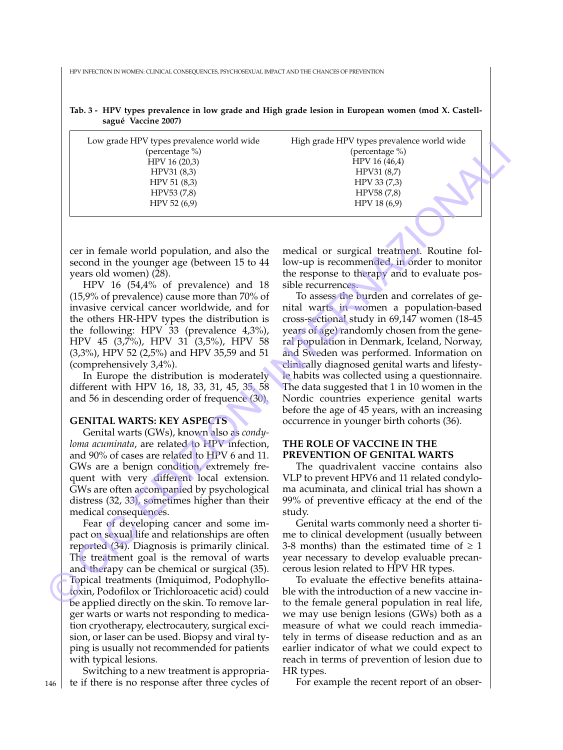HPV INFECTION IN WOMEN: CLINICAL CONSEQUENCES, PSYCHOSEXUAL IMPACT AND THE CHANCES OF PREVENTION

|  | Tab. 3 - HPV types prevalence in low grade and High grade lesion in European women (mod X. Castell- |  |  |  |  |  |
|--|-----------------------------------------------------------------------------------------------------|--|--|--|--|--|
|  | sagué Vaccine 2007)                                                                                 |  |  |  |  |  |

| Low grade HPV types prevalence world wide<br>(percentage %)<br>HPV 16 (20,3)<br>HPV31 (8,3)<br>HPV 51 (8,3)<br>HPV53 (7,8)<br>HPV 52 (6,9) | High grade HPV types prevalence world wide<br>(percentage %)<br>HPV 16 (46,4)<br>HPV31 (8,7)<br>HPV 33 (7,3)<br>HPV58 (7,8)<br>HPV 18 (6,9) |
|--------------------------------------------------------------------------------------------------------------------------------------------|---------------------------------------------------------------------------------------------------------------------------------------------|
|                                                                                                                                            |                                                                                                                                             |
| cer in female world population, and also the                                                                                               | medical or surgical treatment. Routine fol-                                                                                                 |
| second in the younger age (between 15 to 44                                                                                                | low-up is recommended, in order to monitor                                                                                                  |
| years old women) (28).                                                                                                                     | the response to therapy and to evaluate pos-                                                                                                |
| HPV 16 (54,4% of prevalence) and 18                                                                                                        | sible recurrences.                                                                                                                          |
| $(15,9%$ of prevalence) cause more than 70% of                                                                                             | To assess the burden and correlates of ge-                                                                                                  |
| invasive cervical cancer worldwide, and for                                                                                                | nital warts in women a population-based                                                                                                     |
| the others HR-HPV types the distribution is                                                                                                | cross-sectional study in 69,147 women (18-45                                                                                                |
| the following: HPV 33 (prevalence 4,3%),                                                                                                   | years of age) randomly chosen from the gene-                                                                                                |
| HPV 45 (3,7%), HPV 31 (3,5%), HPV 58                                                                                                       | ral population in Denmark, Iceland, Norway,                                                                                                 |
| (3,3%), HPV 52 (2,5%) and HPV 35,59 and 51                                                                                                 | and Sweden was performed. Information on                                                                                                    |
| (comprehensively 3,4%).                                                                                                                    | clinically diagnosed genital warts and lifesty-                                                                                             |
| In Europe the distribution is moderately                                                                                                   | le habits was collected using a questionnaire.                                                                                              |
| different with HPV 16, 18, 33, 31, 45, 35, 58                                                                                              | The data suggested that 1 in 10 women in the                                                                                                |
| and 56 in descending order of frequence (30).                                                                                              | Nordic countries experience genital warts                                                                                                   |
| <b>GENITAL WARTS: KEY ASPECTS</b>                                                                                                          | before the age of 45 years, with an increasing<br>occurrence in younger birth cohorts (36).                                                 |
| Genital warts (GWs), known also as condy-                                                                                                  |                                                                                                                                             |
| loma acuminata, are related to HPV infection,                                                                                              | THE ROLE OF VACCINE IN THE                                                                                                                  |
| and 90% of cases are related to HPV 6 and 11.                                                                                              | PREVENTION OF GENITAL WARTS                                                                                                                 |
| GWs are a benign condition, extremely fre-                                                                                                 | The quadrivalent vaccine contains also                                                                                                      |
| quent with very different local extension.                                                                                                 | VLP to prevent HPV6 and 11 related condylo-                                                                                                 |
| GWs are often accompanied by psychological                                                                                                 | ma acuminata, and clinical trial has shown a                                                                                                |
| distress (32, 33), sometimes higher than their                                                                                             | 99% of preventive efficacy at the end of the                                                                                                |
| medical consequences.                                                                                                                      | study.                                                                                                                                      |
| Fear of developing cancer and some im-                                                                                                     | Genital warts commonly need a shorter ti-                                                                                                   |
| pact on sexual life and relationships are often                                                                                            | me to clinical development (usually between                                                                                                 |
| reported (34). Diagnosis is primarily clinical.                                                                                            | 3-8 months) than the estimated time of $\geq 1$                                                                                             |
| The treatment goal is the removal of warts                                                                                                 | year necessary to develop evaluable precan-                                                                                                 |
| and therapy can be chemical or surgical (35).                                                                                              | cerous lesion related to HPV HR types.                                                                                                      |
| Topical treatments (Imiquimod, Podophyllo-                                                                                                 | To evaluate the effective benefits attaina-<br>ble with the introduction of a new vaccine in-                                               |
| toxin, Podofilox or Trichloroacetic acid) could<br>be applied directly on the skin. To remove lar-                                         | to the female general population in real life,                                                                                              |
|                                                                                                                                            |                                                                                                                                             |

## **GENITAL WARTS: KEY ASPECTS**

Fear of developing cancer and some impact on sexual life and relationships are often reported (34). Diagnosis is primarily clinical. The treatment goal is the removal of warts and therapy can be chemical or surgical (35). Topical treatments (Imiquimod, Podophyllotoxin, Podofilox or Trichloroacetic acid) could be applied directly on the skin. To remove larger warts or warts not responding to medication cryotherapy, electrocautery, surgical excision, or laser can be used. Biopsy and viral typing is usually not recommended for patients with typical lesions.

Switching to a new treatment is appropriate if there is no response after three cycles of

## **THE ROLE OF VACCINE IN THE PREVENTION OF GENITAL WARTS**

To evaluate the effective benefits attainable with the introduction of a new vaccine into the female general population in real life, we may use benign lesions (GWs) both as a measure of what we could reach immediately in terms of disease reduction and as an earlier indicator of what we could expect to reach in terms of prevention of lesion due to HR types.

For example the recent report of an obser-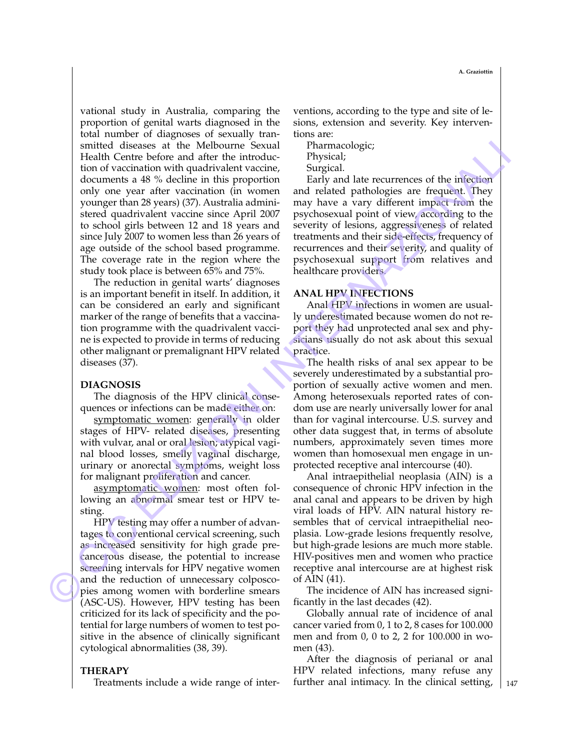vational study in Australia, comparing the proportion of genital warts diagnosed in the total number of diagnoses of sexually transmitted diseases at the Melbourne Sexual Health Centre before and after the introduction of vaccination with quadrivalent vaccine, documents a 48 % decline in this proportion only one year after vaccination (in women younger than 28 years) (37). Australia administered quadrivalent vaccine since April 2007 to school girls between 12 and 18 years and since July 2007 to women less than 26 years of age outside of the school based programme. The coverage rate in the region where the study took place is between 65% and 75%*.* smitted dissenses at the Melbourne Scoutist Tharmcocologic Than Melbourne Scoutist vacing that is the main of the main of the main of the main of the main of the main of the main of the main of the main of the main of the

The reduction in genital warts' diagnoses is an important benefit in itself. In addition, it can be considered an early and significant marker of the range of benefits that a vaccination programme with the quadrivalent vaccine is expected to provide in terms of reducing other malignant or premalignant HPV related diseases (37).

## **DIAGNOSIS**

The diagnosis of the HPV clinical consequences or infections can be made either on:

symptomatic women: generally in older stages of HPV- related diseases, presenting with vulvar, anal or oral lesion; atypical vaginal blood losses, smelly vaginal discharge, urinary or anorectal symptoms, weight loss for malignant proliferation and cancer.

asymptomatic women: most often following an abnormal smear test or HPV testing.

HPV testing may offer a number of advantages to conventional cervical screening, such as increased sensitivity for high grade precancerous disease, the potential to increase screening intervals for HPV negative women and the reduction of unnecessary colposcopies among women with borderline smears (ASC-US). However, HPV testing has been criticized for its lack of specificity and the potential for large numbers of women to test positive in the absence of clinically significant cytological abnormalities (38, 39).

## **THERAPY**

Treatments include a wide range of inter-

ventions, according to the type and site of lesions, extension and severity. Key interventions are:

Pharmacologic;

- Physical;
- Surgical.

Early and late recurrences of the infection and related pathologies are frequent. They may have a vary different impact from the psychosexual point of view, according to the severity of lesions, aggressiveness of related treatments and their side-effects, frequency of recurrences and their severity, and quality of psychosexual support from relatives and healthcare providers.

## **ANAL HPV INFECTIONS**

Anal HPV infections in women are usually underestimated because women do not report they had unprotected anal sex and physicians usually do not ask about this sexual practice.

The health risks of anal sex appear to be severely underestimated by a substantial proportion of sexually active women and men. Among heterosexuals reported rates of condom use are nearly universally lower for anal than for vaginal intercourse. U.S. survey and other data suggest that, in terms of absolute numbers, approximately seven times more women than homosexual men engage in unprotected receptive anal intercourse (40).

Anal intraepithelial neoplasia (AIN) is a consequence of chronic HPV infection in the anal canal and appears to be driven by high viral loads of HPV. AIN natural history resembles that of cervical intraepithelial neoplasia. Low-grade lesions frequently resolve, but high-grade lesions are much more stable. HIV-positives men and women who practice receptive anal intercourse are at highest risk of AIN (41).

The incidence of AIN has increased significantly in the last decades (42).

Globally annual rate of incidence of anal cancer varied from 0, 1 to 2, 8 cases for 100.000 men and from 0, 0 to 2, 2 for 100.000 in women (43).

After the diagnosis of perianal or anal HPV related infections, many refuse any further anal intimacy. In the clinical setting,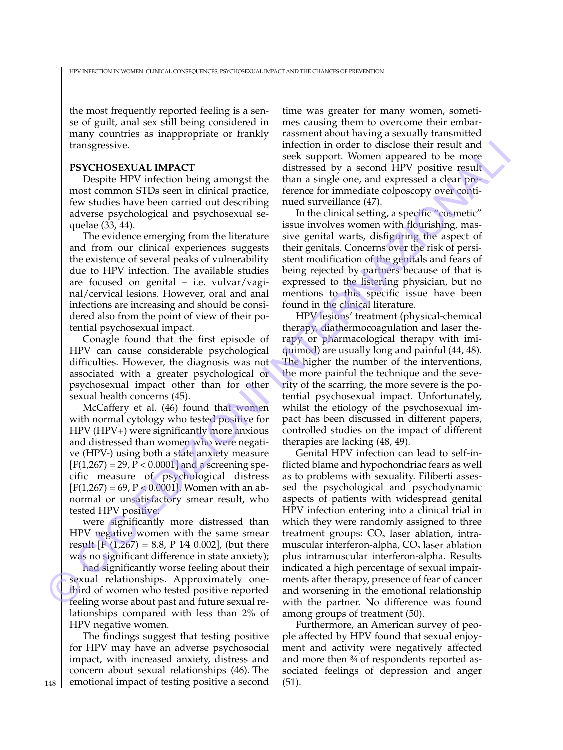the most frequently reported feeling is a sense of guilt, anal sex still being considered in many countries as inappropriate or frankly transgressive.

## **PSYCHOSEXUAL IMPACT**

Despite HPV infection being amongst the most common STDs seen in clinical practice, few studies have been carried out describing adverse psychological and psychosexual sequelae (33, 44).

The evidence emerging from the literature and from our clinical experiences suggests the existence of several peaks of vulnerability due to HPV infection. The available studies are focused on genital  $-$  i.e. vulvar/vaginal/cervical lesions. However, oral and anal infections are increasing and should be considered also from the point of view of their potential psychosexual impact.

Conagle found that the first episode of HPV can cause considerable psychological difficulties. However, the diagnosis was not associated with a greater psychological or psychosexual impact other than for other sexual health concerns (45).

McCaffery et al. (46) found that women with normal cytology who tested positive for HPV (HPV+) were significantly more anxious and distressed than women who were negative (HPV-) using both a state anxiety measure  $[F(1,267) = 29, P < 0.0001]$  and a screening specific measure of psychological distress  $[F(1,267) = 69, P < 0.0001]$ . Women with an abnormal or unsatisfactory smear result, who tested HPV positive:

were significantly more distressed than HPV negative women with the same smear result  $[F(1,267) = 8.8, P 1/4 0.002]$ , (but there was no significant difference in state anxiety);

had significantly worse feeling about their sexual relationships. Approximately onethird of women who tested positive reported feeling worse about past and future sexual relationships compared with less than 2% of HPV negative women.

The findings suggest that testing positive for HPV may have an adverse psychosocial impact, with increased anxiety, distress and concern about sexual relationships (46). The emotional impact of testing positive a second

time was greater for many women, sometimes causing them to overcome their embarrassment about having a sexually transmitted infection in order to disclose their result and seek support. Women appeared to be more distressed by a second HPV positive result than a single one, and expressed a clear preference for immediate colposcopy over continued surveillance (47).

In the clinical setting, a specific "cosmetic" issue involves women with flourishing, massive genital warts, disfiguring the aspect of their genitals. Concerns over the risk of persistent modification of the genitals and fears of being rejected by partners because of that is expressed to the listening physician, but no mentions to this specific issue have been found in the clinical literature.

HPV lesions' treatment (physical-chemical therapy, diathermocoagulation and laser therapy or pharmacological therapy with imiquimod) are usually long and painful (44, 48). The higher the number of the interventions, the more painful the technique and the severity of the scarring, the more severe is the potential psychosexual impact. Unfortunately, whilst the etiology of the psychosexual impact has been discussed in different papers, controlled studies on the impact of different therapies are lacking (48, 49).

Genital HPV infection can lead to self-inflicted blame and hypochondriac fears as well as to problems with sexuality. Filiberti assessed the psychological and psychodynamic aspects of patients with widespread genital HPV infection entering into a clinical trial in which they were randomly assigned to three treatment groups:  $CO<sub>2</sub>$  laser ablation, intramuscular interferon-alpha,  $CO<sub>2</sub>$  laser ablation plus intramuscular interferon-alpha. Results indicated a high percentage of sexual impairments after therapy, presence of fear of cancer and worsening in the emotional relationship with the partner. No difference was found among groups of treatment (50). transpersive.<br>
Instead in order to side of the result and the more intervention in the same of the same of the same of the same of the same of the same of the same of the same of the same of the same of the same of the sa

> Furthermore, an American survey of people affected by HPV found that sexual enjoyment and activity were negatively affected and more then ¾ of respondents reported associated feelings of depression and anger (51).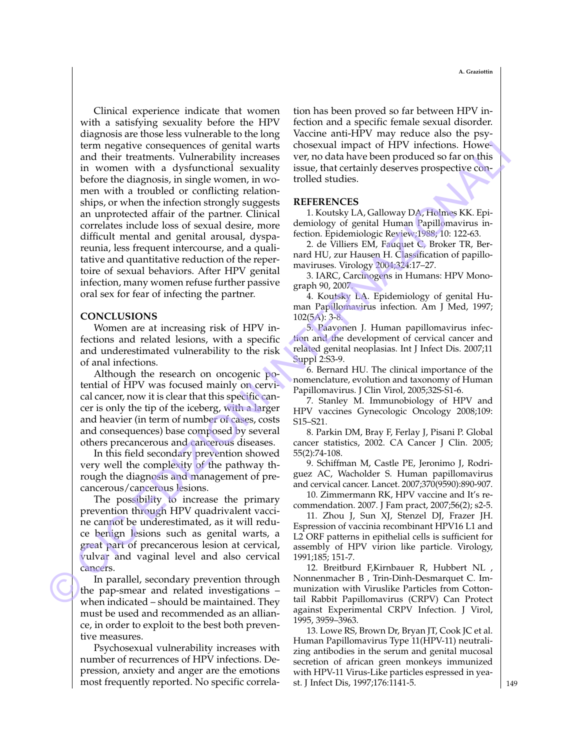Clinical experience indicate that women with a satisfying sexuality before the HPV diagnosis are those less vulnerable to the long term negative consequences of genital warts and their treatments. Vulnerability increases in women with a dysfunctional sexuality before the diagnosis, in single women, in women with a troubled or conflicting relationships, or when the infection strongly suggests an unprotected affair of the partner. Clinical correlates include loss of sexual desire, more difficult mental and genital arousal, dyspareunia, less frequent intercourse, and a qualitative and quantitative reduction of the repertoire of sexual behaviors. After HPV genital infection, many women refuse further passive oral sex for fear of infecting the partner. term osgative consequences of genital wards choosened impact of HPV infections. However, the main wave the properties of genital wave been produced so far on this in women with a dyed to the properties of genital with the

#### **CONCLUSIONS**

Women are at increasing risk of HPV infections and related lesions, with a specific and underestimated vulnerability to the risk of anal infections.

Although the research on oncogenic potential of HPV was focused mainly on cervical cancer, now it is clear that this specific cancer is only the tip of the iceberg, with a larger and heavier (in term of number of cases, costs and consequences) base composed by several others precancerous and cancerous diseases.

In this field secondary prevention showed very well the complexity of the pathway through the diagnosis and management of precancerous/cancerous lesions.

The possibility to increase the primary prevention through HPV quadrivalent vaccine cannot be underestimated, as it will reduce benign lesions such as genital warts, a great part of precancerous lesion at cervical, vulvar and vaginal level and also cervical cancers.

In parallel, secondary prevention through the pap-smear and related investigations – when indicated – should be maintained. They must be used and recommended as an alliance, in order to exploit to the best both preventive measures.

Psychosexual vulnerability increases with number of recurrences of HPV infections. Depression, anxiety and anger are the emotions most frequently reported. No specific correlation has been proved so far between HPV infection and a specific female sexual disorder. Vaccine anti-HPV may reduce also the psychosexual impact of HPV infections. However, no data have been produced so far on this issue, that certainly deserves prospective controlled studies.

#### **REFERENCES**

1. Koutsky LA, Galloway DA, Holmes KK. Epidemiology of genital Human Papillomavirus infection. Epidemiologic Review;1988; 10: 122-63.

2. de Villiers EM, Fauquet C, Broker TR, Bernard HU, zur Hausen H. Classification of papillomaviruses. Virology 2004;324:17–27.

3. IARC, Carcinogens in Humans: HPV Monograph 90, 2007.

4. Koutsky LA. Epidemiology of genital Human Papillomavirus infection. Am J Med, 1997; 102(5A): 3-8.

5. Paavonen J. Human papillomavirus infection and the development of cervical cancer and related genital neoplasias. Int J Infect Dis. 2007;11 Suppl 2:S3-9.

6. Bernard HU. The clinical importance of the nomenclature, evolution and taxonomy of Human Papillomavirus. J Clin Virol, 2005;32S-S1-6.

7. Stanley M. Immunobiology of HPV and HPV vaccines Gynecologic Oncology 2008;109: S15–S21.

8. Parkin DM, Bray F, Ferlay J, Pisani P. Global cancer statistics, 2002. CA Cancer J Clin. 2005; 55(2):74-108.

9. Schiffman M, Castle PE, Jeronimo J, Rodriguez AC, Wacholder S. Human papillomavirus and cervical cancer. Lancet. 2007;370(9590):890-907.

10. Zimmermann RK, HPV vaccine and It's recommendation. 2007. J Fam pract, 2007;56(2); s2-5.

11. Zhou J, Sun XJ, Stenzel DJ, Frazer JH. Espression of vaccinia recombinant HPV16 L1 and L2 ORF patterns in epithelial cells is sufficient for assembly of HPV virion like particle. Virology, 1991;185; 151-7.

12. Breitburd F,Kirnbauer R, Hubbert NL , Nonnenmacher B , Trin-Dinh-Desmarquet C. Immunization with Viruslike Particles from Cottontail Rabbit Papillomavirus (CRPV) Can Protect against Experimental CRPV Infection. J Virol, 1995, 3959–3963.

13. Lowe RS, Brown Dr, Bryan JT, Cook JC et al. Human Papillomavirus Type 11(HPV-11) neutralizing antibodies in the serum and genital mucosal secretion of african green monkeys immunized with HPV-11 Virus-Like particles espressed in yeast. J Infect Dis, 1997;176:1141-5.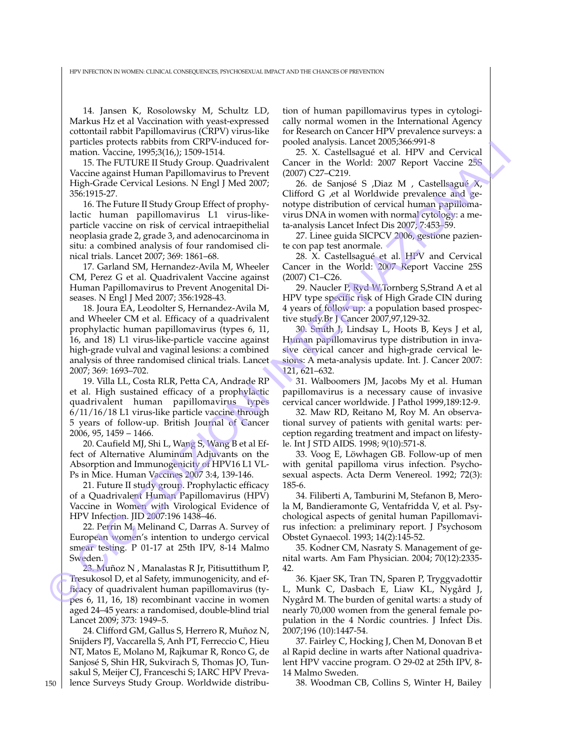HPV INFECTION IN WOMEN: CLINICAL CONSEQUENCES, PSYCHOSEXUAL IMPACT AND THE CHANCES OF PREVENTION

14. Jansen K, Rosolowsky M, Schultz LD, Markus Hz et al Vaccination with yeast-expressed cottontail rabbit Papillomavirus (CRPV) virus-like particles protects rabbits from CRPV-induced formation. Vaccine, 1995;3(16,); 1509-1514.

15. The FUTURE II Study Group. Quadrivalent Vaccine against Human Papillomavirus to Prevent High-Grade Cervical Lesions. N Engl J Med 2007; 356:1915-27.

16. The Future II Study Group Effect of prophylactic human papillomavirus L1 virus-likeparticle vaccine on risk of cervical intraepithelial neoplasia grade 2, grade 3, and adenocarcinoma in situ: a combined analysis of four randomised clinical trials. Lancet 2007; 369: 1861–68.

17. Garland SM, Hernandez-Avila M, Wheeler CM, Perez G et al. Quadrivalent Vaccine against Human Papillomavirus to Prevent Anogenital Diseases. N Engl J Med 2007; 356:1928-43.

18. Joura EA, Leodolter S, Hernandez-Avila M, and Wheeler CM et al. Efficacy of a quadrivalent prophylactic human papillomavirus (types 6, 11, 16, and 18) L1 virus-like-particle vaccine against high-grade vulval and vaginal lesions: a combined analysis of three randomised clinical trials. Lancet 2007; 369: 1693–702. particles applies the constrained in the spin of the spin of the spin of the spin of the spin of the spin of the spin of the spin of the spin of the spin of the spin of the spin of the spin of the spin of the spin of the

19. Villa LL, Costa RLR, Petta CA, Andrade RP et al. High sustained efficacy of a prophylactic quadrivalent human papillomavirus types 6/11/16/18 L1 virus-like particle vaccine through 5 years of follow-up. British Journal of Cancer 2006, 95, 1459 – 1466.

20. Caufield MJ, Shi L, Wang S, Wang B et al Effect of Alternative Aluminum Adjuvants on the Absorption and Immunogenicity of HPV16 L1 VL-Ps in Mice. Human Vaccines 2007 3:4, 139-146.

21. Future II study group. Prophylactic efficacy of a Quadrivalent Human Papillomavirus (HPV) Vaccine in Women with Virological Evidence of HPV Infection. JID 2007:196 1438–46.

22. Perrin M, Melinand C, Darras A. Survey of European women's intention to undergo cervical smear testing. P 01-17 at 25th IPV, 8-14 Malmo Sweden.

23. Muñoz N , Manalastas R Jr, Pitisuttithum P, Tresukosol D, et al Safety, immunogenicity, and efficacy of quadrivalent human papillomavirus (types 6, 11, 16, 18) recombinant vaccine in women aged 24–45 years: a randomised, double-blind trial Lancet 2009; 373: 1949–5.

24. Clifford GM, Gallus S, Herrero R, Muñoz N, Snijders PJ, Vaccarella S, Anh PT, Ferreccio C, Hieu NT, Matos E, Molano M, Rajkumar R, Ronco G, de Sanjosé S, Shin HR, Sukvirach S, Thomas JO, Tunsakul S, Meijer CJ, Franceschi S; IARC HPV Prevalence Surveys Study Group. Worldwide distribu-

tion of human papillomavirus types in cytologically normal women in the International Agency for Research on Cancer HPV prevalence surveys: a pooled analysis. Lancet 2005;366:991-8

25. X. Castellsagué et al. HPV and Cervical Cancer in the World: 2007 Report Vaccine 25S (2007) C27–C219.

26. de Sanjosé S ,Diaz M , Castellsagué X, Clifford G ,et al Worldwide prevalence and genotype distribution of cervical human papillomavirus DNA in women with normal cytology: a meta-analysis Lancet Infect Dis 2007; 7:453–59.

27. Linee guida SICPCV 2006, gestione paziente con pap test anormale.

28. X. Castellsagué et al. HPV and Cervical Cancer in the World: 2007 Report Vaccine 25S (2007) C1–C26.

29. Naucler P, Ryd W,Tornberg S,Strand A et al HPV type specific risk of High Grade CIN during 4 years of follow up: a population based prospective study.Br J Cancer 2007,97,129-32.

30. Smith J, Lindsay L, Hoots B, Keys J et al, Human papillomavirus type distribution in invasive cervical cancer and high-grade cervical lesions: A meta-analysis update. Int. J. Cancer 2007: 121, 621–632.

31. Walboomers JM, Jacobs My et al. Human papillomavirus is a necessary cause of invasive cervical cancer worldwide. J Pathol 1999,189:12-9.

32. Maw RD, Reitano M, Roy M. An observational survey of patients with genital warts: perception regarding treatment and impact on lifestyle. Int J STD AIDS. 1998; 9(10):571-8.

33. Voog E, Löwhagen GB. Follow-up of men with genital papilloma virus infection. Psychosexual aspects. Acta Derm Venereol. 1992; 72(3): 185-6.

34. Filiberti A, Tamburini M, Stefanon B, Merola M, Bandieramonte G, Ventafridda V, et al. Psychological aspects of genital human Papillomavirus infection: a preliminary report. J Psychosom Obstet Gynaecol. 1993; 14(2):145-52.

35. Kodner CM, Nasraty S. Management of genital warts. Am Fam Physician. 2004; 70(12):2335- 42.

36. Kjaer SK, Tran TN, Sparen P, Tryggvadottir L, Munk C, Dasbach E, Liaw KL, Nygård J, Nygård M. The burden of genital warts: a study of nearly 70,000 women from the general female population in the 4 Nordic countries. J Infect Dis. 2007;196 (10):1447-54.

37. Fairley C, Hocking J, Chen M, Donovan B et al Rapid decline in warts after National quadrivalent HPV vaccine program. O 29-02 at 25th IPV, 8- 14 Malmo Sweden.

38. Woodman CB, Collins S, Winter H, Bailey